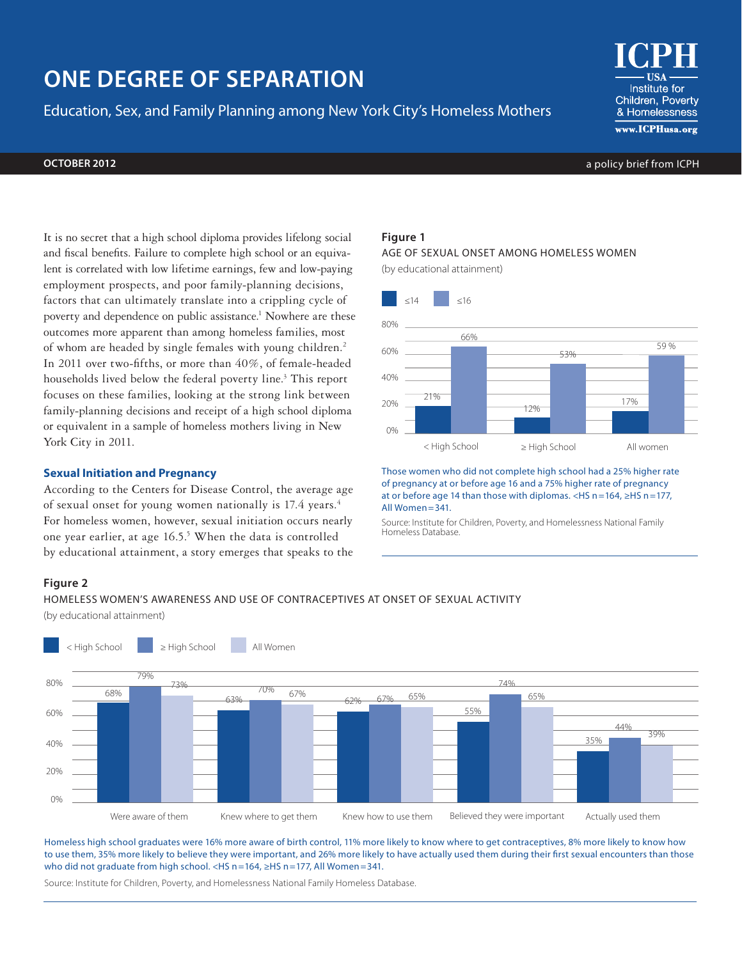# **ONE DEGREE OF SEPARATION**

Education, Sex, and Family Planning among New York City's Homeless Mothers

Institute for Children, Poverty & Homelessness www.ICPHusa.org

**OCTOBER 2012** a policy brief from ICPH

It is no secret that a high school diploma provides lifelong social and fiscal benefits. Failure to complete high school or an equivalent is correlated with low lifetime earnings, few and low-paying employment prospects, and poor family-planning decisions, factors that can ultimately translate into a crippling cycle of poverty and dependence on public assistance.<sup>1</sup> Nowhere are these outcomes more apparent than among homeless families, most of whom are headed by single females with young children.2 In 2011 over two-fifths, or more than 40%, of female-headed households lived below the federal poverty line.<sup>3</sup> This report focuses on these families, looking at the strong link between family-planning decisions and receipt of a high school diploma or equivalent in a sample of homeless mothers living in New York City in 2011.

# **Sexual Initiation and Pregnancy**

According to the Centers for Disease Control, the average age of sexual onset for young women nationally is 17.4 years.<sup>4</sup> For homeless women, however, sexual initiation occurs nearly one year earlier, at age 16.5.<sup>5</sup> When the data is controlled by educational attainment, a story emerges that speaks to the

# **Figure 1**

AGE OF SEXUAL ONSET AMONG HOMELESS WOMEN

(by educational attainment)



Those women who did not complete high school had a 25% higher rate of pregnancy at or before age 16 and a 75% higher rate of pregnancy at or before age 14 than those with diplomas. <HS n =164, ≥HS n =177, All Women =341.

Source: Institute for Children, Poverty, and Homelessness National Family Homeless Database.

#### **Figure 2**

HOMELESS WOMEN'S AWARENESS AND USE OF CONTRACEPTIVES AT ONSET OF SEXUAL ACTIVITY

(by educational attainment)



Homeless high school graduates were 16% more aware of birth control, 11% more likely to know where to get contraceptives, 8% more likely to know how to use them, 35% more likely to believe they were important, and 26% more likely to have actually used them during their first sexual encounters than those who did not graduate from high school. <HS n = 164, ≥HS n = 177, All Women = 341.

Source: Institute for Children, Poverty, and Homelessness National Family Homeless Database.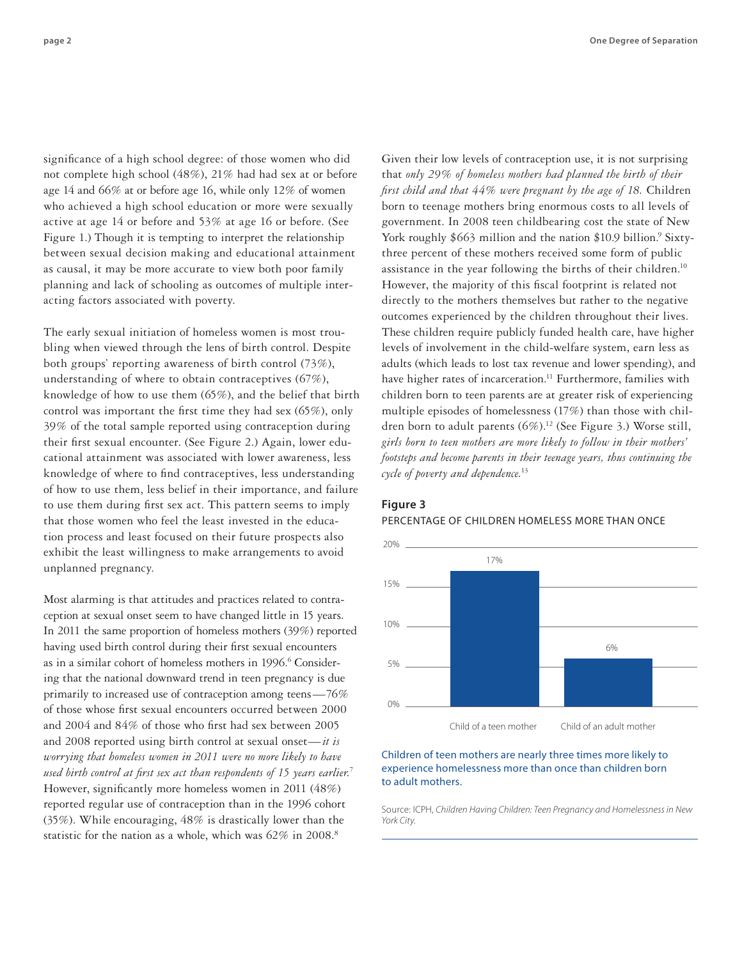significance of a high school degree: of those women who did not complete high school (48%), 21% had had sex at or before age 14 and 66% at or before age 16, while only 12% of women who achieved a high school education or more were sexually active at age 14 or before and 53% at age 16 or before. (See Figure 1.) Though it is tempting to interpret the relationship between sexual decision making and educational attainment as causal, it may be more accurate to view both poor family planning and lack of schooling as outcomes of multiple interacting factors associated with poverty.

The early sexual initiation of homeless women is most troubling when viewed through the lens of birth control. Despite both groups' reporting awareness of birth control (73%), understanding of where to obtain contraceptives (67%), knowledge of how to use them (65%), and the belief that birth control was important the first time they had sex (65%), only 39% of the total sample reported using contraception during their first sexual encounter. (See Figure 2.) Again, lower educational attainment was associated with lower awareness, less knowledge of where to find contraceptives, less understanding of how to use them, less belief in their importance, and failure to use them during first sex act. This pattern seems to imply that those women who feel the least invested in the education process and least focused on their future prospects also exhibit the least willingness to make arrangements to avoid unplanned pregnancy.

Most alarming is that attitudes and practices related to contraception at sexual onset seem to have changed little in 15 years. In 2011 the same proportion of homeless mothers (39%) reported having used birth control during their first sexual encounters as in a similar cohort of homeless mothers in 1996.<sup>6</sup> Considering that the national downward trend in teen pregnancy is due primarily to increased use of contraception among teens—76% of those whose first sexual encounters occurred between 2000 and 2004 and 84% of those who first had sex between 2005 and 2008 reported using birth control at sexual onset—*it is worrying that homeless women in 2011 were no more likely to have used birth control at first sex act than respondents of 15 years earlier.*<sup>7</sup> However, significantly more homeless women in 2011 (48%) reported regular use of contraception than in the 1996 cohort (35%). While encouraging, 48% is drastically lower than the statistic for the nation as a whole, which was  $62\%$  in  $2008$ .<sup>8</sup>

Given their low levels of contraception use, it is not surprising that *only 29% of homeless mothers had planned the birth of their first child and that 44% were pregnant by the age of 18.* Children born to teenage mothers bring enormous costs to all levels of government. In 2008 teen childbearing cost the state of New York roughly \$663 million and the nation \$10.9 billion.<sup>9</sup> Sixtythree percent of these mothers received some form of public assistance in the year following the births of their children.<sup>10</sup> However, the majority of this fiscal footprint is related not directly to the mothers themselves but rather to the negative outcomes experienced by the children throughout their lives. These children require publicly funded health care, have higher levels of involvement in the child-welfare system, earn less as adults (which leads to lost tax revenue and lower spending), and have higher rates of incarceration.<sup>11</sup> Furthermore, families with children born to teen parents are at greater risk of experiencing multiple episodes of homelessness (17%) than those with children born to adult parents (6%).<sup>12</sup> (See Figure 3.) Worse still, *girls born to teen mothers are more likely to follow in their mothers' footsteps and become parents in their teenage years, thus continuing the cycle of poverty and dependence.*13

#### **Figure 3**

#### PERCENTAGE OF CHILDREN HOMELESS MORE THAN ONCE



# Children of teen mothers are nearly three times more likely to experience homelessness more than once than children born to adult mothers.

Source: ICPH, *Children Having Children: Teen Pregnancy and Homelessness in New York City.*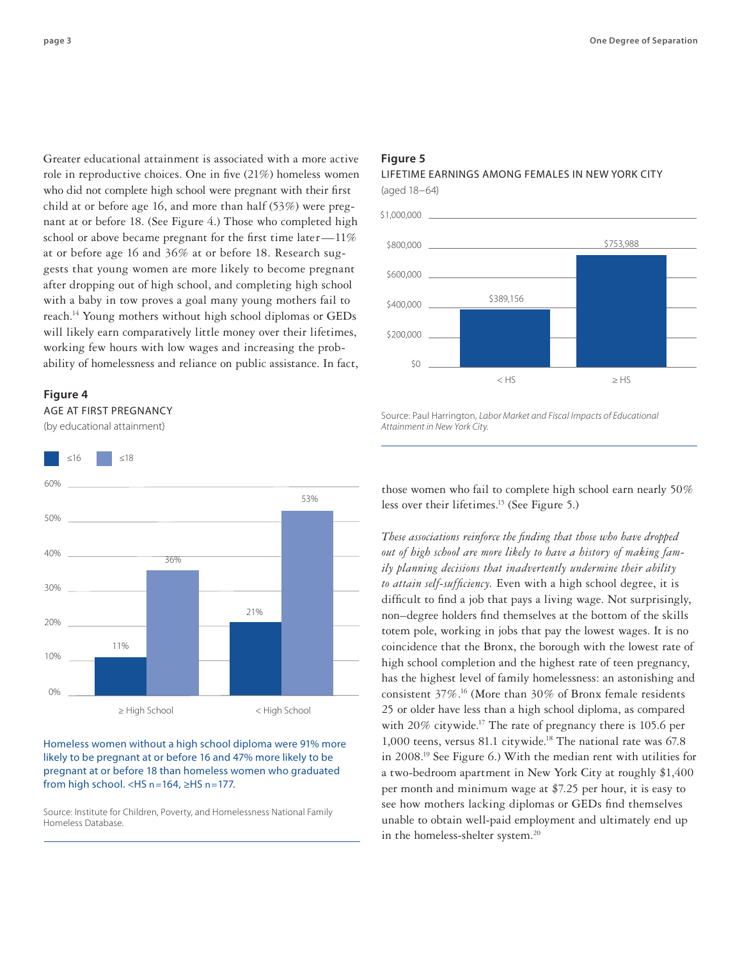Greater educational attainment is associated with a more active role in reproductive choices. One in five (21%) homeless women who did not complete high school were pregnant with their first child at or before age 16, and more than half (53%) were pregnant at or before 18. (See Figure 4.) Those who completed high school or above became pregnant for the first time later—11% at or before age 16 and 36% at or before 18. Research suggests that young women are more likely to become pregnant after dropping out of high school, and completing high school with a baby in tow proves a goal many young mothers fail to reach.14 Young mothers without high school diplomas or GEDs will likely earn comparatively little money over their lifetimes, working few hours with low wages and increasing the probability of homelessness and reliance on public assistance. In fact,

#### **Figure 4**



(by educational attainment)



# Homeless women without a high school diploma were 91% more likely to be pregnant at or before 16 and 47% more likely to be pregnant at or before 18 than homeless women who graduated from high school. <HS n=164, ≥HS n=177.

Source: Institute for Children, Poverty, and Homelessness National Family Homeless Database.

# **Figure 5**

# LIFETIME EARNINGS AMONG FEMALES IN NEW YORK CITY (aged 18−64)



Source: Paul Harrington, *Labor Market and Fiscal Impacts of Educational Attainment in New York City.*

those women who fail to complete high school earn nearly 50% less over their lifetimes.15 (See Figure 5.)

*These associations reinforce the finding that those who have dropped out of high school are more likely to have a history of making family planning decisions that inadvertently undermine their ability to attain self-sufficiency.* Even with a high school degree, it is difficult to find a job that pays a living wage. Not surprisingly, non–degree holders find themselves at the bottom of the skills totem pole, working in jobs that pay the lowest wages. It is no coincidence that the Bronx, the borough with the lowest rate of high school completion and the highest rate of teen pregnancy, has the highest level of family homelessness: an astonishing and consistent  $37\%$ .<sup>16</sup> (More than  $30\%$  of Bronx female residents 25 or older have less than a high school diploma, as compared with 20% citywide.<sup>17</sup> The rate of pregnancy there is 105.6 per 1,000 teens, versus 81.1 citywide.<sup>18</sup> The national rate was  $67.8$ in 2008.19 See Figure 6.) With the median rent with utilities for a two-bedroom apartment in New York City at roughly \$1,400 per month and minimum wage at \$7.25 per hour, it is easy to see how mothers lacking diplomas or GEDs find themselves unable to obtain well-paid employment and ultimately end up in the homeless-shelter system.<sup>20</sup>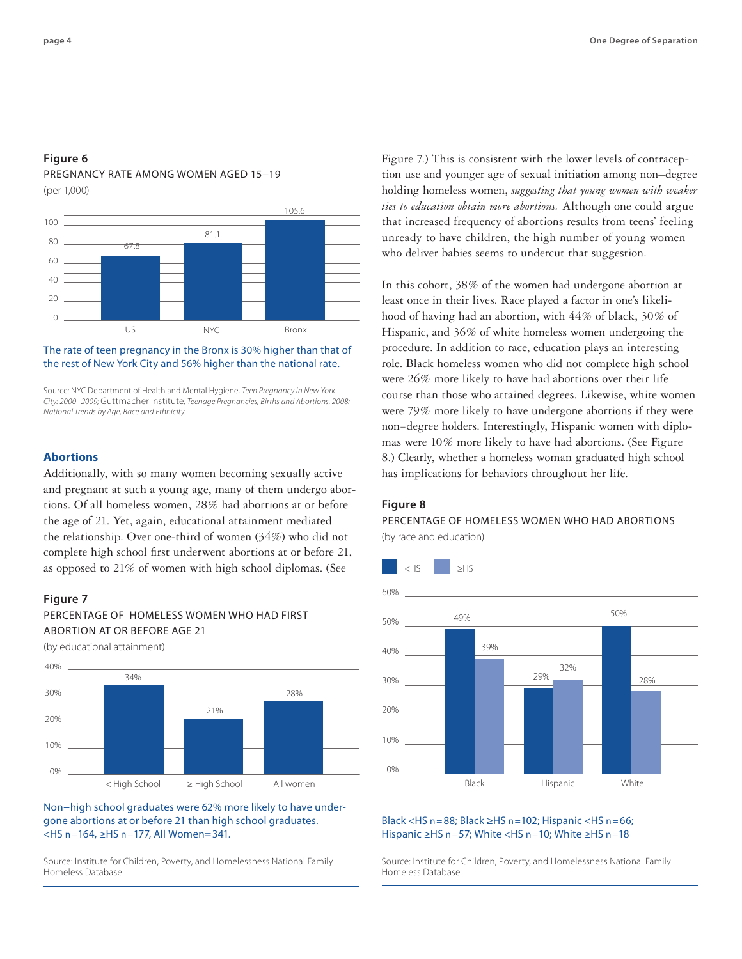# **Figure 6**

# PREGNANCY RATE AMONG WOMEN AGED 15−19

(per 1,000)



# The rate of teen pregnancy in the Bronx is 30% higher than that of the rest of New York City and 56% higher than the national rate.

Source: NYC Department of Health and Mental Hygiene, *Teen Pregnancy in New York City: 2000−2009;* Guttmacher Institute*, Teenage Pregnancies, Births and Abortions, 2008: National Trends by Age, Race and Ethnicity.*

# **Abortions**

Additionally, with so many women becoming sexually active and pregnant at such a young age, many of them undergo abortions. Of all homeless women, 28% had abortions at or before the age of 21. Yet, again, educational attainment mediated the relationship. Over one-third of women (34%) who did not complete high school first underwent abortions at or before 21, as opposed to 21% of women with high school diplomas. (See  $\blacktriangleright$  =  $\blacktriangleright$   $\blacktriangleright$   $\blacktriangleright$   $\blacktriangleright$   $\blacktriangleright$   $\blacktriangleright$   $\blacktriangleright$   $\blacktriangleright$   $\blacktriangleright$   $\blacktriangleright$   $\blacktriangleright$   $\blacktriangleright$   $\blacktriangleright$   $\blacktriangleright$   $\blacktriangleright$   $\blacktriangleright$   $\blacktriangleright$   $\blacktriangleright$   $\blacktriangleright$ 

# **Figure 7**



(by educational attainment)



Non−high school graduates were 62% more likely to have undergone abortions at or before 21 than high school graduates. <HS n =164, ≥HS n =177, All Women=341.

Source: Institute for Children, Poverty, and Homelessness National Family Homeless Database.

Figure 7.) This is consistent with the lower levels of contraception use and younger age of sexual initiation among non–degree holding homeless women, *suggesting that young women with weaker ties to education obtain more abortions.* Although one could argue that increased frequency of abortions results from teens' feeling unready to have children, the high number of young women who deliver babies seems to undercut that suggestion.

In this cohort, 38% of the women had undergone abortion at least once in their lives. Race played a factor in one's likelihood of having had an abortion, with 44% of black, 30% of Hispanic, and 36% of white homeless women undergoing the procedure. In addition to race, education plays an interesting role. Black homeless women who did not complete high school were 26% more likely to have had abortions over their life course than those who attained degrees. Likewise, white women were 79% more likely to have undergone abortions if they were non−degree holders. Interestingly, Hispanic women with diplomas were 10% more likely to have had abortions. (See Figure 8.) Clearly, whether a homeless woman graduated high school has implications for behaviors throughout her life.

# **Figure 8**

PERCENTAGE OF HOMELESS WOMEN WHO HAD ABORTIONS (by race and education)



#### Black <HS  $n = 88$ ; Black  $\geq$ HS  $n = 102$ ; Hispanic <HS  $n = 66$ ; Hispanic ≥HS n =57; White <HS n =10; White ≥HS n =18

Source: Institute for Children, Poverty, and Homelessness National Family Homeless Database.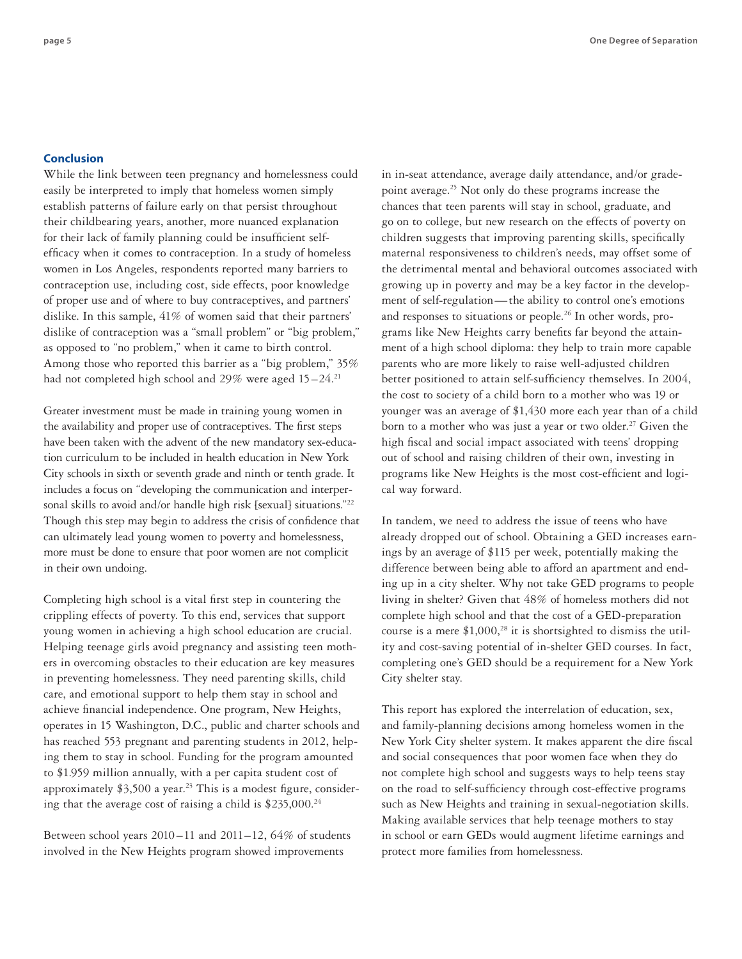# **Conclusion**

While the link between teen pregnancy and homelessness could easily be interpreted to imply that homeless women simply establish patterns of failure early on that persist throughout their childbearing years, another, more nuanced explanation for their lack of family planning could be insufficient selfefficacy when it comes to contraception. In a study of homeless women in Los Angeles, respondents reported many barriers to contraception use, including cost, side effects, poor knowledge of proper use and of where to buy contraceptives, and partners' dislike. In this sample, 41% of women said that their partners' dislike of contraception was a "small problem" or "big problem," as opposed to "no problem," when it came to birth control. Among those who reported this barrier as a "big problem," 35% had not completed high school and 29% were aged 15–24.<sup>21</sup>

Greater investment must be made in training young women in the availability and proper use of contraceptives. The first steps have been taken with the advent of the new mandatory sex-education curriculum to be included in health education in New York City schools in sixth or seventh grade and ninth or tenth grade. It includes a focus on "developing the communication and interpersonal skills to avoid and/or handle high risk [sexual] situations."<sup>22</sup> Though this step may begin to address the crisis of confidence that can ultimately lead young women to poverty and homelessness, more must be done to ensure that poor women are not complicit in their own undoing.

Completing high school is a vital first step in countering the crippling effects of poverty. To this end, services that support young women in achieving a high school education are crucial. Helping teenage girls avoid pregnancy and assisting teen mothers in overcoming obstacles to their education are key measures in preventing homelessness. They need parenting skills, child care, and emotional support to help them stay in school and achieve financial independence. One program, New Heights, operates in 15 Washington, D.C., public and charter schools and has reached 553 pregnant and parenting students in 2012, helping them to stay in school. Funding for the program amounted to \$1.959 million annually, with a per capita student cost of approximately  $$3,500$  a year.<sup>23</sup> This is a modest figure, considering that the average cost of raising a child is  $$235,000.<sup>24</sup>$ 

Between school years 2010 –11 and 2011–12, 64% of students involved in the New Heights program showed improvements

in in-seat attendance, average daily attendance, and/or gradepoint average.25 Not only do these programs increase the chances that teen parents will stay in school, graduate, and go on to college, but new research on the effects of poverty on children suggests that improving parenting skills, specifically maternal responsiveness to children's needs, may offset some of the detrimental mental and behavioral outcomes associated with growing up in poverty and may be a key factor in the development of self-regulation—the ability to control one's emotions and responses to situations or people.<sup>26</sup> In other words, programs like New Heights carry benefits far beyond the attainment of a high school diploma: they help to train more capable parents who are more likely to raise well-adjusted children better positioned to attain self-sufficiency themselves. In 2004, the cost to society of a child born to a mother who was 19 or younger was an average of \$1,430 more each year than of a child born to a mother who was just a year or two older.<sup>27</sup> Given the high fiscal and social impact associated with teens' dropping out of school and raising children of their own, investing in programs like New Heights is the most cost-efficient and logical way forward.

In tandem, we need to address the issue of teens who have already dropped out of school. Obtaining a GED increases earnings by an average of \$115 per week, potentially making the difference between being able to afford an apartment and ending up in a city shelter. Why not take GED programs to people living in shelter? Given that 48% of homeless mothers did not complete high school and that the cost of a GED-preparation course is a mere  $$1,000$ ,<sup>28</sup> it is shortsighted to dismiss the utility and cost-saving potential of in-shelter GED courses. In fact, completing one's GED should be a requirement for a New York City shelter stay.

This report has explored the interrelation of education, sex, and family-planning decisions among homeless women in the New York City shelter system. It makes apparent the dire fiscal and social consequences that poor women face when they do not complete high school and suggests ways to help teens stay on the road to self-sufficiency through cost-effective programs such as New Heights and training in sexual-negotiation skills. Making available services that help teenage mothers to stay in school or earn GEDs would augment lifetime earnings and protect more families from homelessness.